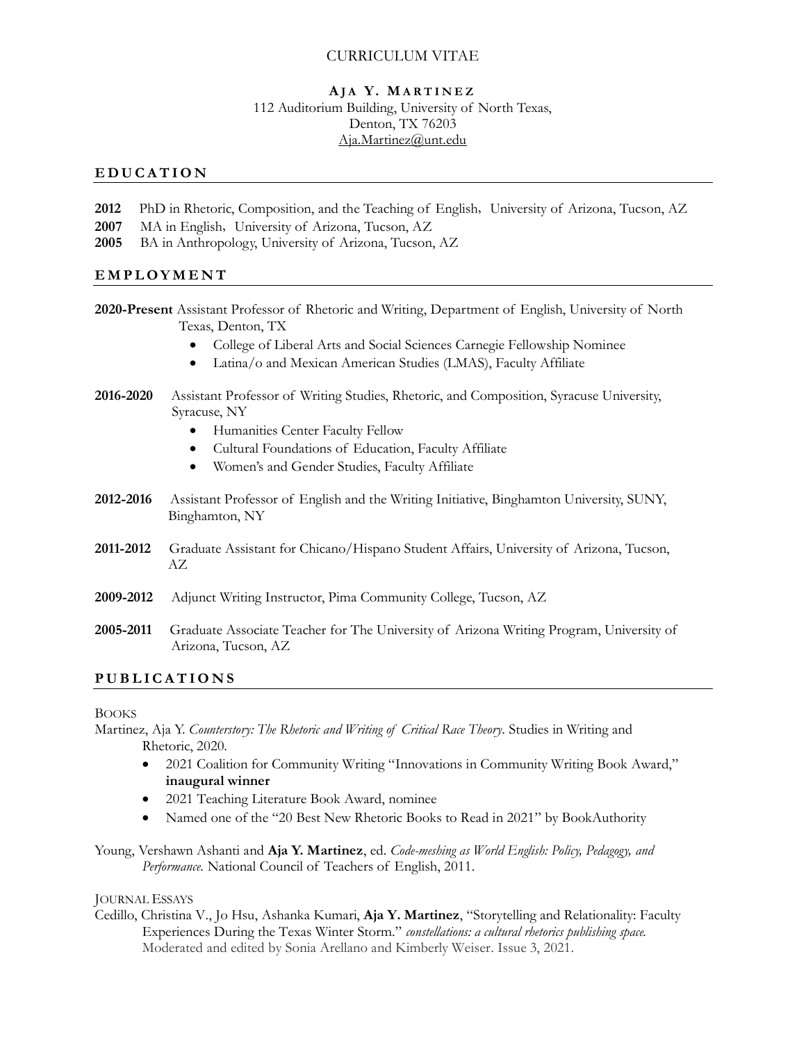## CURRICULUM VITAE

#### **A J A Y. M A R T I N E Z** 112 Auditorium Building, University of North Texas, Denton, TX 76203 [Aja.Martinez@unt.edu](mailto:Aja.Martinez@unt.edu)

#### **E D U C A T I O N**

- **2012** PhD in Rhetoric, Composition, and the Teaching of English, University of Arizona, Tucson, AZ
- **2007** MA in English, University of Arizona, Tucson, AZ
- **2005** BA in Anthropology, University of Arizona, Tucson, AZ

### **E M P L O Y M E N T**

- **2020-Present** Assistant Professor of Rhetoric and Writing, Department of English, University of North Texas, Denton, TX
	- College of Liberal Arts and Social Sciences Carnegie Fellowship Nominee
	- Latina/o and Mexican American Studies (LMAS), Faculty Affiliate
- **2016-2020** Assistant Professor of Writing Studies, Rhetoric, and Composition, Syracuse University, Syracuse, NY
	- Humanities Center Faculty Fellow
	- Cultural Foundations of Education, Faculty Affiliate
	- Women's and Gender Studies, Faculty Affiliate
- **2012-2016** Assistant Professor of English and the Writing Initiative, Binghamton University, SUNY, Binghamton, NY
- **2011-2012** Graduate Assistant for Chicano/Hispano Student Affairs, University of Arizona, Tucson, AZ
- **2009-2012** Adjunct Writing Instructor, Pima Community College, Tucson, AZ
- **2005-2011** Graduate Associate Teacher for The University of Arizona Writing Program, University of Arizona, Tucson, AZ

### **P U B L I C A T I O N S**

**BOOKS** 

Martinez, Aja Y. *Counterstory: The Rhetoric and Writing of Critical Race Theory*. Studies in Writing and Rhetoric, 2020.

- 2021 Coalition for Community Writing "Innovations in Community Writing Book Award," **inaugural winner**
- 2021 Teaching Literature Book Award, nominee
- Named one of the "20 Best New Rhetoric Books to Read in 2021" by BookAuthority
- Young, Vershawn Ashanti and **Aja Y. Martinez**, ed. *Code-meshing as World English: Policy, Pedagogy, and Performance.* National Council of Teachers of English, 2011.

#### JOURNAL ESSAYS

Cedillo, Christina V., Jo Hsu, Ashanka Kumari, **Aja Y. Martinez**, "Storytelling and Relationality: Faculty Experiences During the Texas Winter Storm." *constellations: a cultural rhetorics publishing space.* Moderated and edited by Sonia Arellano and Kimberly Weiser. Issue 3, 2021.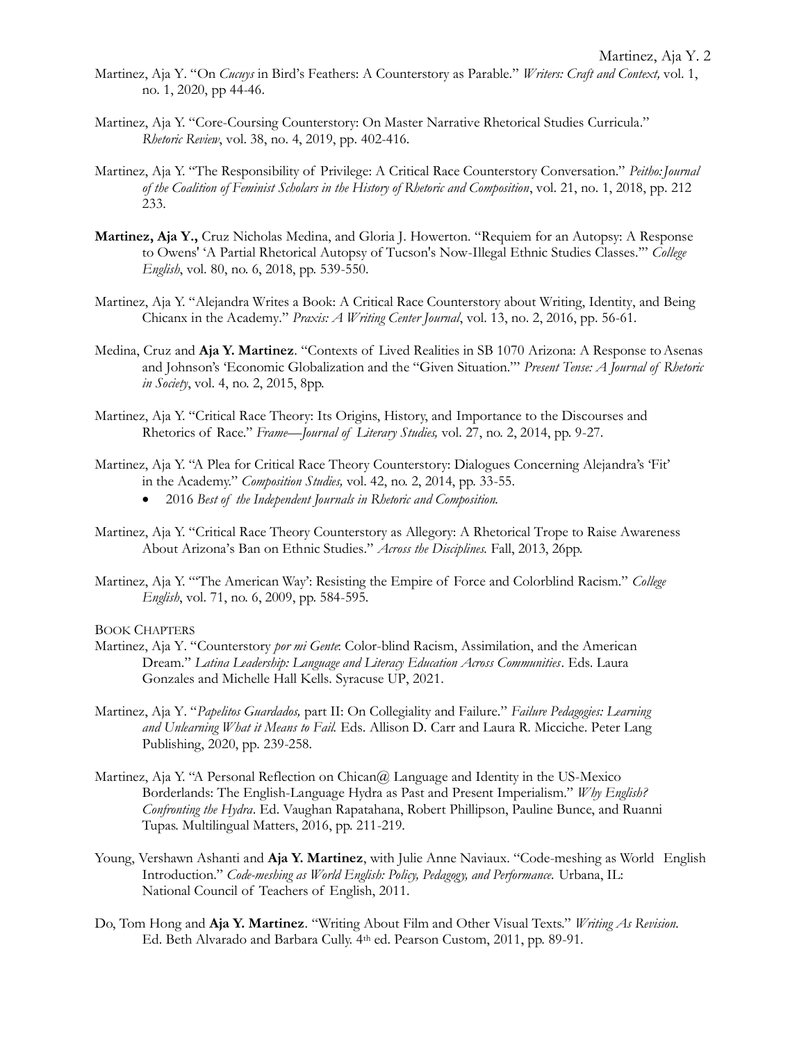- Martinez, Aja Y. "On *Cucuys* in Bird's Feathers: A Counterstory as Parable." *Writers: Craft and Context,* vol. 1, no. 1, 2020, pp 44-46.
- Martinez, Aja Y. "Core-Coursing Counterstory: On Master Narrative Rhetorical Studies Curricula." *Rhetoric Review*, vol. 38, no. 4, 2019, pp. 402-416.
- Martinez, Aja Y. "The Responsibility of Privilege: A Critical Race Counterstory Conversation." *Peitho:Journal of the Coalition of Feminist Scholars in the History of Rhetoric and Composition*, vol. 21, no. 1, 2018, pp. 212 233.
- Martinez, Aja Y., Cruz Nicholas Medina, and Gloria J. Howerton. "Requiem for an Autopsy: A Response to Owens' 'A Partial Rhetorical Autopsy of Tucson's Now-Illegal Ethnic Studies Classes.'" *College English*, vol. 80, no. 6, 2018, pp. 539-550.
- Martinez, Aja Y. "Alejandra Writes a Book: A Critical Race Counterstory about Writing, Identity, and Being Chicanx in the Academy." *Praxis: A Writing Center Journal*, vol. 13, no. 2, 2016, pp. 56-61.
- Medina, Cruz and **Aja Y. Martinez**. "Contexts of Lived Realities in SB 1070 Arizona: A Response to Asenas and Johnson's 'Economic Globalization and the "Given Situation."' *Present Tense: A Journal of Rhetoric in Society*, vol. 4, no. 2, 2015, 8pp.
- Martinez, Aja Y. "Critical Race Theory: Its Origins, History, and Importance to the Discourses and Rhetorics of Race." *Frame—Journal of Literary Studies,* vol. 27, no. 2, 2014, pp. 9-27.
- Martinez, Aja Y. "A Plea for Critical Race Theory Counterstory: Dialogues Concerning Alejandra's 'Fit' in the Academy." *Composition Studies,* vol. 42, no. 2, 2014, pp. 33-55.
	- 2016 *Best of the Independent Journals in Rhetoric and Composition.*
- Martinez, Aja Y. "Critical Race Theory Counterstory as Allegory: A Rhetorical Trope to Raise Awareness About Arizona's Ban on Ethnic Studies." *Across the Disciplines.* Fall, 2013, 26pp.
- Martinez, Aja Y. "'The American Way': Resisting the Empire of Force and Colorblind Racism." *College English*, vol. 71, no. 6, 2009, pp. 584-595.

#### BOOK CHAPTERS

- Martinez, Aja Y. "Counterstory *por mi Gente*: Color-blind Racism, Assimilation, and the American Dream." *Latina Leadership: Language and Literacy Education Across Communities*. Eds. Laura Gonzales and Michelle Hall Kells. Syracuse UP, 2021.
- Martinez, Aja Y. "*Papelitos Guardados,* part II: On Collegiality and Failure." *Failure Pedagogies: Learning and Unlearning What it Means to Fail.* Eds. Allison D. Carr and Laura R. Micciche. Peter Lang Publishing, 2020, pp. 239-258.
- Martinez, Aja Y. "A Personal Reflection on Chican $@$  Language and Identity in the US-Mexico Borderlands: The English-Language Hydra as Past and Present Imperialism." *Why English? Confronting the Hydra*. Ed. Vaughan Rapatahana, Robert Phillipson, Pauline Bunce, and Ruanni Tupas. Multilingual Matters, 2016, pp. 211-219.
- Young, Vershawn Ashanti and **Aja Y. Martinez**, with Julie Anne Naviaux. "Code-meshing as World English Introduction." *Code-meshing as World English: Policy, Pedagogy, and Performance.* Urbana, IL: National Council of Teachers of English, 2011.
- Do, Tom Hong and **Aja Y. Martinez**. "Writing About Film and Other Visual Texts." *Writing As Revision.* Ed. Beth Alvarado and Barbara Cully. 4th ed. Pearson Custom, 2011, pp. 89-91.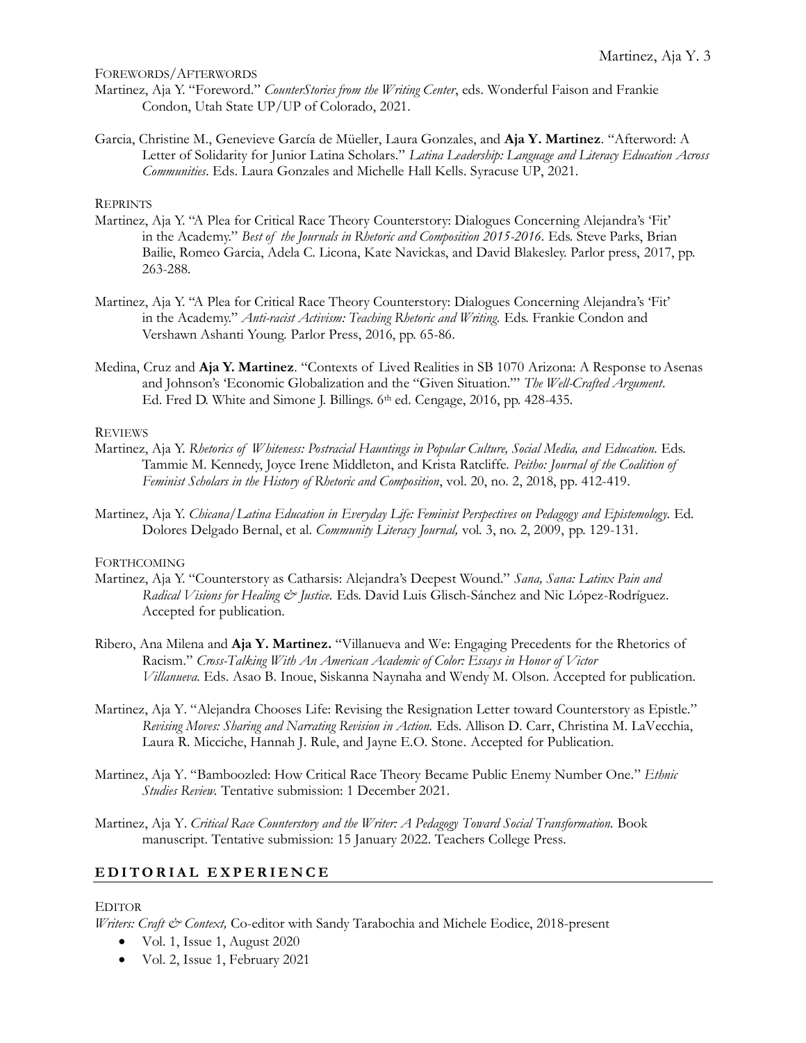FOREWORDS/AFTERWORDS

- Martinez, Aja Y. "Foreword." *CounterStories from the Writing Center*, eds. Wonderful Faison and Frankie Condon, Utah State UP/UP of Colorado, 2021.
- Garcia, Christine M., Genevieve García de Müeller, Laura Gonzales, and **Aja Y. Martinez**. "Afterword: A Letter of Solidarity for Junior Latina Scholars." *Latina Leadership: Language and Literacy Education Across Communities*. Eds. Laura Gonzales and Michelle Hall Kells. Syracuse UP, 2021.

#### **REPRINTS**

- Martinez, Aja Y. "A Plea for Critical Race Theory Counterstory: Dialogues Concerning Alejandra's 'Fit' in the Academy." *Best of the Journals in Rhetoric and Composition 2015-2016.* Eds. Steve Parks, Brian Bailie, Romeo Garcia, Adela C. Licona, Kate Navickas, and David Blakesley. Parlor press, 2017, pp. 263-288.
- Martinez, Aja Y. "A Plea for Critical Race Theory Counterstory: Dialogues Concerning Alejandra's 'Fit' in the Academy." *Anti-racist Activism: Teaching Rhetoric and Writing.* Eds. Frankie Condon and Vershawn Ashanti Young. Parlor Press, 2016, pp. 65-86.
- Medina, Cruz and Aja Y. Martinez. "Contexts of Lived Realities in SB 1070 Arizona: A Response to Asenas and Johnson's 'Economic Globalization and the "Given Situation."' *The Well-Crafted Argument*. Ed. Fred D. White and Simone J. Billings. 6<sup>th</sup> ed. Cengage, 2016, pp. 428-435.

#### REVIEWS

- Martinez, Aja Y. *Rhetorics of Whiteness: Postracial Hauntings in Popular Culture, Social Media, and Education.* Eds. Tammie M. Kennedy, Joyce Irene Middleton, and Krista Ratcliffe. *Peitho: Journal of the Coalition of Feminist Scholars in the History of Rhetoric and Composition*, vol. 20, no. 2, 2018, pp. 412-419.
- Martinez, Aja Y. *Chicana/Latina Education in Everyday Life: Feminist Perspectives on Pedagogy and Epistemology.* Ed. Dolores Delgado Bernal, et al. *Community Literacy Journal,* vol. 3, no. 2, 2009, pp. 129-131.

#### FORTHCOMING

- Martinez, Aja Y. "Counterstory as Catharsis: Alejandra's Deepest Wound." *Sana, Sana: Latinx Pain and Radical Visions for Healing & Justice.* Eds. David Luis Glisch-Sánchez and Nic López-Rodríguez. Accepted for publication.
- Ribero, Ana Milena and **Aja Y. Martinez.** "Villanueva and We: Engaging Precedents for the Rhetorics of Racism." *Cross-Talking With An American Academic of Color: Essays in Honor of Victor Villanueva.* Eds. Asao B. Inoue, Siskanna Naynaha and Wendy M. Olson. Accepted for publication.
- Martinez, Aja Y. "Alejandra Chooses Life: Revising the Resignation Letter toward Counterstory as Epistle." *Revising Moves: Sharing and Narrating Revision in Action.* Eds. Allison D. Carr, Christina M. LaVecchia, Laura R. Micciche, Hannah J. Rule, and Jayne E.O. Stone. Accepted for Publication.
- Martinez, Aja Y. "Bamboozled: How Critical Race Theory Became Public Enemy Number One*.*" *Ethnic Studies Review.* Tentative submission: 1 December 2021.
- Martinez, Aja Y. *Critical Race Counterstory and the Writer: A Pedagogy Toward Social Transformation.* Book manuscript. Tentative submission: 15 January 2022. Teachers College Press.

### **E D I T O R I A L E X P E R I E N C E**

#### **EDITOR**

*Writers: Craft & Context,* Co-editor with Sandy Tarabochia and Michele Eodice, 2018-present

- [Vol. 1, Issue 1, August 2020](https://journals.shareok.org/writersccjournal/issue/view/1)
- [Vol. 2, Issue 1, February 2021](https://journals.shareok.org/writersccjournal/issue/view/2)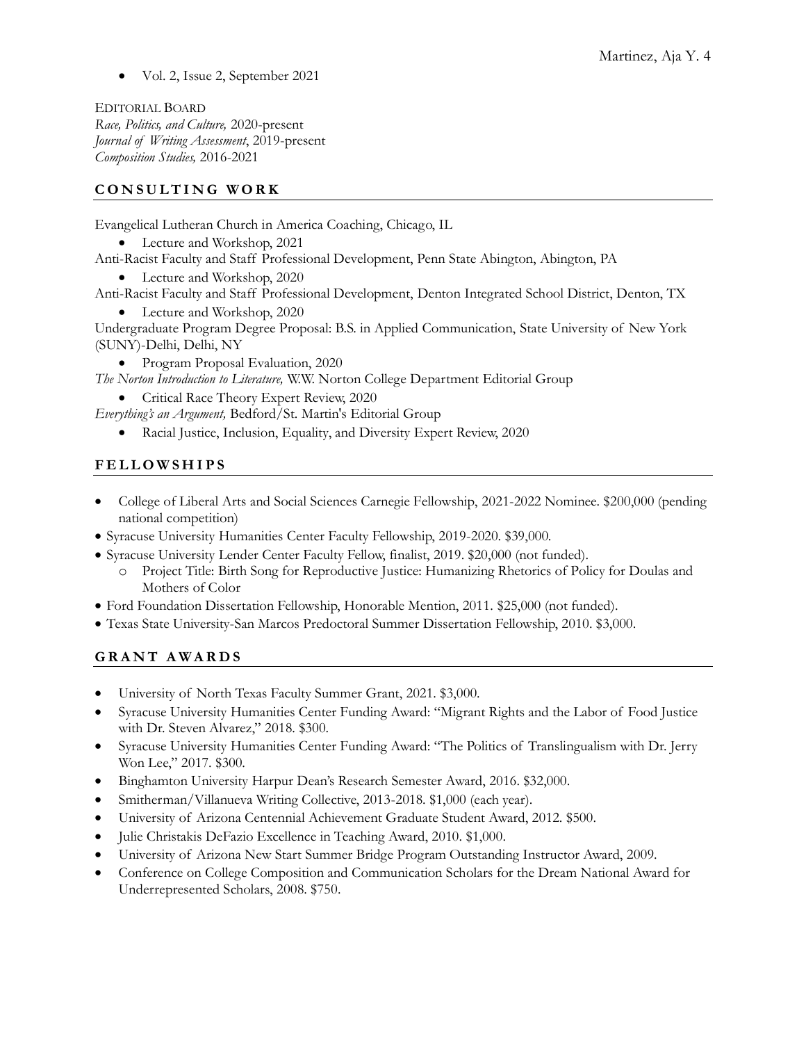• Vol. 2, Issue 2, September 2021

EDITORIAL BOARD *Race, Politics, and Culture,* 2020-present *Journal of Writing Assessment*, 2019-present *Composition Studies,* 2016-2021

## **C O N S U L T I N G W O R K**

Evangelical Lutheran Church in America Coaching, Chicago, IL

- Lecture and Workshop, 2021
- Anti-Racist Faculty and Staff Professional Development, Penn State Abington, Abington, PA
	- Lecture and Workshop, 2020

Anti-Racist Faculty and Staff Professional Development, Denton Integrated School District, Denton, TX

• Lecture and Workshop, 2020

Undergraduate Program Degree Proposal: B.S. in Applied Communication, State University of New York (SUNY)-Delhi, Delhi, NY

• Program Proposal Evaluation, 2020

*The Norton Introduction to Literature,* W.W. Norton College Department Editorial Group

• Critical Race Theory Expert Review, 2020

*Everything's an Argument,* Bedford/St. Martin's Editorial Group

• Racial Justice, Inclusion, Equality, and Diversity Expert Review, 2020

# **F E L L O W S H I P S**

- College of Liberal Arts and Social Sciences Carnegie Fellowship, 2021-2022 Nominee. \$200,000 (pending national competition)
- Syracuse University Humanities Center Faculty Fellowship, 2019-2020. \$39,000.
- Syracuse University Lender Center Faculty Fellow, finalist, 2019. \$20,000 (not funded).
	- o Project Title: Birth Song for Reproductive Justice: Humanizing Rhetorics of Policy for Doulas and Mothers of Color
- Ford Foundation Dissertation Fellowship, Honorable Mention, 2011. \$25,000 (not funded).
- Texas State University-San Marcos Predoctoral Summer Dissertation Fellowship, 2010. \$3,000.

# **G R A N T A W A R D S**

- University of North Texas Faculty Summer Grant, 2021. \$3,000.
- Syracuse University Humanities Center Funding Award: "Migrant Rights and the Labor of Food Justice with Dr. Steven Alvarez," 2018. \$300.
- Syracuse University Humanities Center Funding Award: "The Politics of Translingualism with Dr. Jerry Won Lee," 2017. \$300.
- Binghamton University Harpur Dean's Research Semester Award, 2016. \$32,000.
- Smitherman/Villanueva Writing Collective, 2013-2018. \$1,000 (each year).
- University of Arizona Centennial Achievement Graduate Student Award, 2012. \$500.
- Julie Christakis DeFazio Excellence in Teaching Award, 2010. \$1,000.
- University of Arizona New Start Summer Bridge Program Outstanding Instructor Award, 2009.
- Conference on College Composition and Communication Scholars for the Dream National Award for Underrepresented Scholars, 2008. \$750.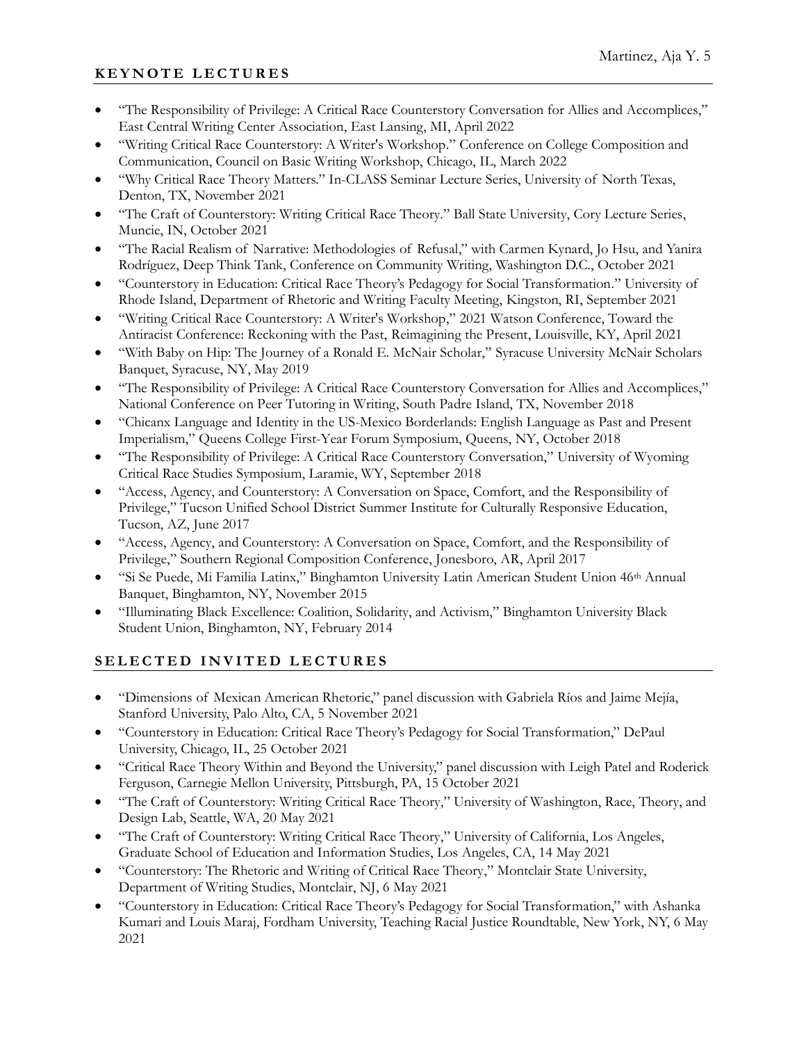# **K E Y N O T E L E C T U R E S**

- "The Responsibility of Privilege: A Critical Race Counterstory Conversation for Allies and Accomplices," East Central Writing Center Association, East Lansing, MI, April 2022
- "Writing Critical Race Counterstory: A Writer's Workshop." Conference on College Composition and Communication, Council on Basic Writing Workshop, Chicago, IL, March 2022
- "Why Critical Race Theory Matters." In-CLASS Seminar Lecture Series, University of North Texas, Denton, TX, November 2021
- "The Craft of Counterstory: Writing Critical Race Theory." Ball State University, Cory Lecture Series, Muncie, IN, October 2021
- "The Racial Realism of Narrative: Methodologies of Refusal," with Carmen Kynard, Jo Hsu, and Yanira Rodríguez, Deep Think Tank, Conference on Community Writing, Washington D.C., October 2021
- "Counterstory in Education: Critical Race Theory's Pedagogy for Social Transformation." University of Rhode Island, Department of Rhetoric and Writing Faculty Meeting, Kingston, RI, September 2021
- "Writing Critical Race Counterstory: A Writer's Workshop," 2021 Watson Conference, Toward the Antiracist Conference: Reckoning with the Past, Reimagining the Present, Louisville, KY, April 2021
- "With Baby on Hip: The Journey of a Ronald E. McNair Scholar," Syracuse University McNair Scholars Banquet, Syracuse, NY, May 2019
- "The Responsibility of Privilege: A Critical Race Counterstory Conversation for Allies and Accomplices," National Conference on Peer Tutoring in Writing, South Padre Island, TX, November 2018
- "Chicanx Language and Identity in the US-Mexico Borderlands: English Language as Past and Present Imperialism," Queens College First-Year Forum Symposium, Queens, NY, October 2018
- "The Responsibility of Privilege: A Critical Race Counterstory Conversation," University of Wyoming Critical Race Studies Symposium, Laramie, WY, September 2018
- "Access, Agency, and Counterstory: A Conversation on Space, Comfort, and the Responsibility of Privilege," Tucson Unified School District Summer Institute for Culturally Responsive Education, Tucson, AZ, June 2017
- "Access, Agency, and Counterstory: A Conversation on Space, Comfort, and the Responsibility of Privilege," Southern Regional Composition Conference, Jonesboro, AR, April 2017
- "Si Se Puede, Mi Familia Latinx," Binghamton University Latin American Student Union 46th Annual Banquet, Binghamton, NY, November 2015
- "Illuminating Black Excellence: Coalition, Solidarity, and Activism," Binghamton University Black Student Union, Binghamton, NY, February 2014

# SELECTED INVITED LECTURES

- "Dimensions of Mexican American Rhetoric," panel discussion with Gabriela Ríos and Jaime Mejía, Stanford University, Palo Alto, CA, 5 November 2021
- "Counterstory in Education: Critical Race Theory's Pedagogy for Social Transformation," DePaul University, Chicago, IL, 25 October 2021
- "Critical Race Theory Within and Beyond the University," panel discussion with Leigh Patel and Roderick Ferguson, Carnegie Mellon University, Pittsburgh, PA, 15 October 2021
- "The Craft of Counterstory: Writing Critical Race Theory," University of Washington, Race, Theory, and Design Lab, Seattle, WA, 20 May 2021
- "The Craft of Counterstory: Writing Critical Race Theory," University of California, Los Angeles, Graduate School of Education and Information Studies, Los Angeles, CA, 14 May 2021
- "Counterstory: The Rhetoric and Writing of Critical Race Theory," Montclair State University, Department of Writing Studies, Montclair, NJ, 6 May 2021
- "Counterstory in Education: Critical Race Theory's Pedagogy for Social Transformation," with Ashanka Kumari and Louis Maraj, Fordham University, Teaching Racial Justice Roundtable, New York, NY, 6 May 2021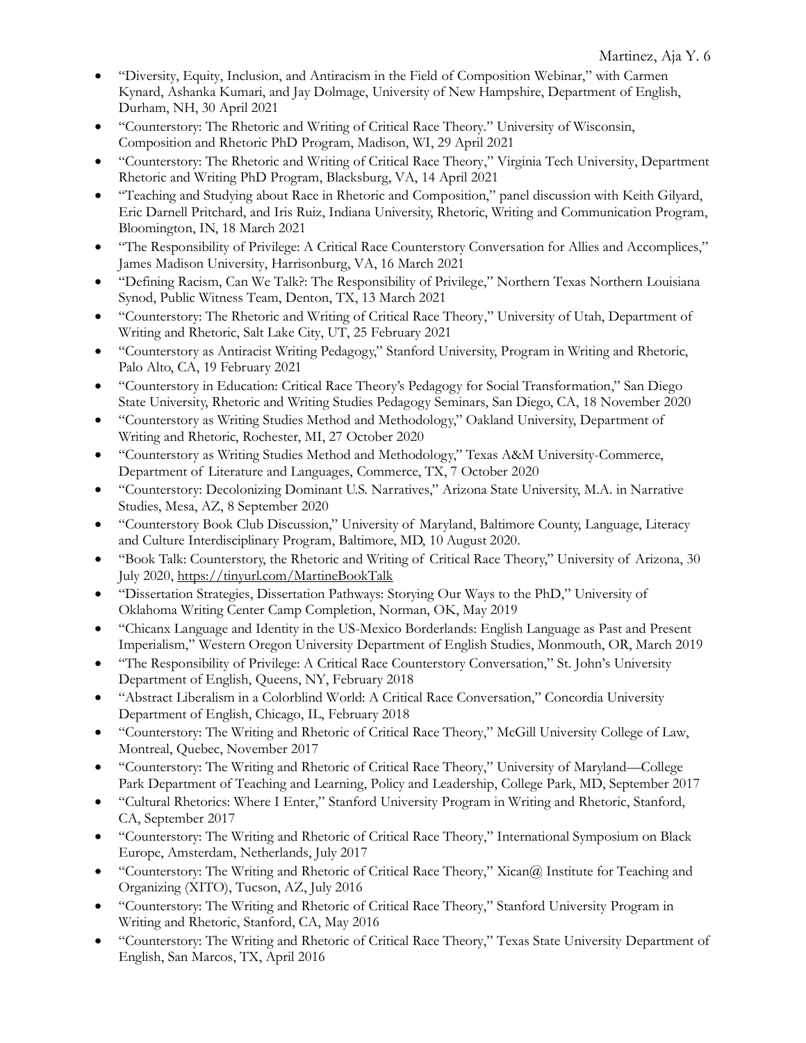- "Diversity, Equity, Inclusion, and Antiracism in the Field of Composition Webinar," with Carmen Kynard, Ashanka Kumari, and Jay Dolmage, University of New Hampshire, Department of English, Durham, NH, 30 April 2021
- "Counterstory: The Rhetoric and Writing of Critical Race Theory." University of Wisconsin, Composition and Rhetoric PhD Program, Madison, WI, 29 April 2021
- "Counterstory: The Rhetoric and Writing of Critical Race Theory," Virginia Tech University, Department Rhetoric and Writing PhD Program, Blacksburg, VA, 14 April 2021
- "Teaching and Studying about Race in Rhetoric and Composition," panel discussion with Keith Gilyard, Eric Darnell Pritchard, and Iris Ruiz, Indiana University, Rhetoric, Writing and Communication Program, Bloomington, IN, 18 March 2021
- "The Responsibility of Privilege: A Critical Race Counterstory Conversation for Allies and Accomplices," James Madison University, Harrisonburg, VA, 16 March 2021
- "Defining Racism, Can We Talk?: The Responsibility of Privilege," Northern Texas Northern Louisiana Synod, Public Witness Team, Denton, TX, 13 March 2021
- "Counterstory: The Rhetoric and Writing of Critical Race Theory," University of Utah, Department of Writing and Rhetoric, Salt Lake City, UT, 25 February 2021
- "Counterstory as Antiracist Writing Pedagogy," Stanford University, Program in Writing and Rhetoric, Palo Alto, CA, 19 February 2021
- "Counterstory in Education: Critical Race Theory's Pedagogy for Social Transformation," San Diego State University, Rhetoric and Writing Studies Pedagogy Seminars, San Diego, CA, 18 November 2020
- "Counterstory as Writing Studies Method and Methodology," Oakland University, Department of Writing and Rhetoric, Rochester, MI, 27 October 2020
- "Counterstory as Writing Studies Method and Methodology," Texas A&M University-Commerce, Department of Literature and Languages, Commerce, TX, 7 October 2020
- "Counterstory: Decolonizing Dominant U.S. Narratives," Arizona State University, M.A. in Narrative Studies, Mesa, AZ, 8 September 2020
- "Counterstory Book Club Discussion," University of Maryland, Baltimore County, Language, Literacy and Culture Interdisciplinary Program, Baltimore, MD, 10 August 2020.
- "Book Talk: Counterstory, the Rhetoric and Writing of Critical Race Theory," University of Arizona, 30 July 2020,<https://tinyurl.com/MartineBookTalk>
- "Dissertation Strategies, Dissertation Pathways: Storying Our Ways to the PhD," University of Oklahoma Writing Center Camp Completion, Norman, OK, May 2019
- "Chicanx Language and Identity in the US-Mexico Borderlands: English Language as Past and Present Imperialism," Western Oregon University Department of English Studies, Monmouth, OR, March 2019
- "The Responsibility of Privilege: A Critical Race Counterstory Conversation," St. John's University Department of English, Queens, NY, February 2018
- "Abstract Liberalism in a Colorblind World: A Critical Race Conversation," Concordia University Department of English, Chicago, IL, February 2018
- "Counterstory: The Writing and Rhetoric of Critical Race Theory," McGill University College of Law, Montreal, Quebec, November 2017
- "Counterstory: The Writing and Rhetoric of Critical Race Theory," University of Maryland—College Park Department of Teaching and Learning, Policy and Leadership, College Park, MD, September 2017
- "Cultural Rhetorics: Where I Enter," Stanford University Program in Writing and Rhetoric, Stanford, CA, September 2017
- "Counterstory: The Writing and Rhetoric of Critical Race Theory," International Symposium on Black Europe, Amsterdam, Netherlands, July 2017
- "Counterstory: The Writing and Rhetoric of Critical Race Theory," Xican@ Institute for Teaching and Organizing (XITO), Tucson, AZ, July 2016
- "Counterstory: The Writing and Rhetoric of Critical Race Theory," Stanford University Program in Writing and Rhetoric, Stanford, CA, May 2016
- "Counterstory: The Writing and Rhetoric of Critical Race Theory," Texas State University Department of English, San Marcos, TX, April 2016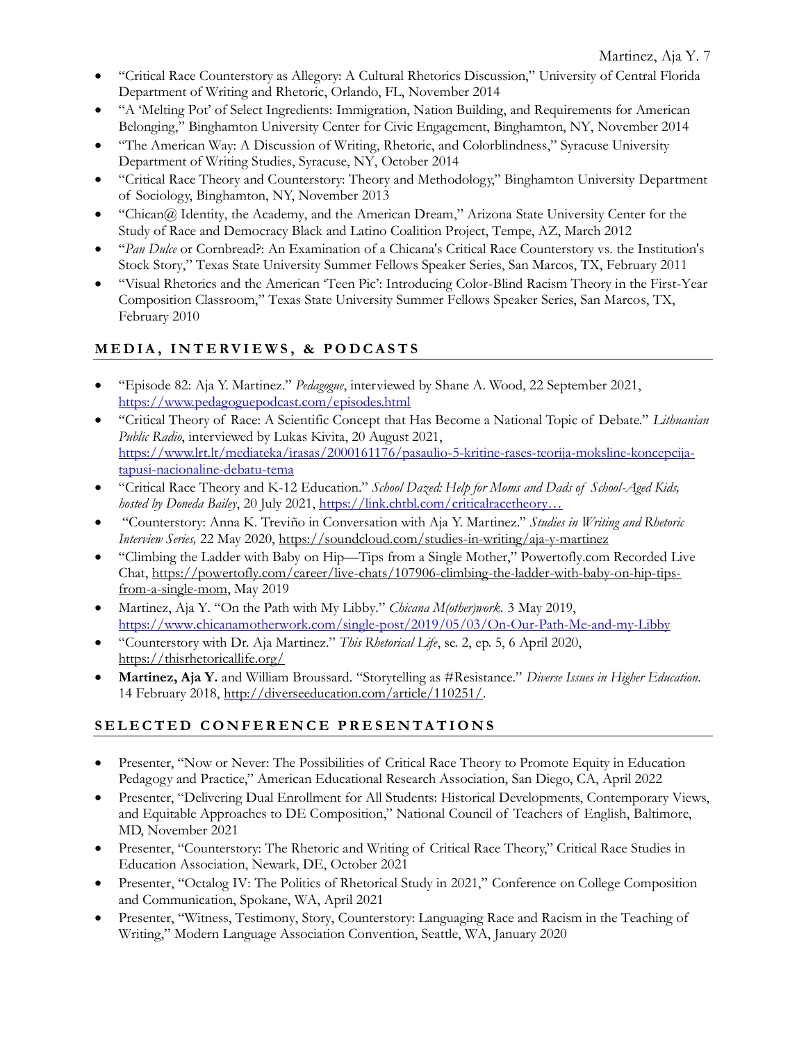- "Critical Race Counterstory as Allegory: A Cultural Rhetorics Discussion," University of Central Florida Department of Writing and Rhetoric, Orlando, FL, November 2014
- "A 'Melting Pot' of Select Ingredients: Immigration, Nation Building, and Requirements for American Belonging," Binghamton University Center for Civic Engagement, Binghamton, NY, November 2014
- "The American Way: A Discussion of Writing, Rhetoric, and Colorblindness," Syracuse University Department of Writing Studies, Syracuse, NY, October 2014
- "Critical Race Theory and Counterstory: Theory and Methodology," Binghamton University Department of Sociology, Binghamton, NY, November 2013
- "Chican@ Identity, the Academy, and the American Dream," Arizona State University Center for the Study of Race and Democracy Black and Latino Coalition Project, Tempe, AZ, March 2012
- "*Pan Dulce* or Cornbread?: An Examination of a Chicana's Critical Race Counterstory vs. the Institution's Stock Story," Texas State University Summer Fellows Speaker Series, San Marcos, TX, February 2011
- "Visual Rhetorics and the American 'Teen Pic': Introducing Color-Blind Racism Theory in the First-Year Composition Classroom," Texas State University Summer Fellows Speaker Series, San Marcos, TX, February 2010

# **M E D I A , I N T E R V I E W S , & P O D C A S T S**

- "Episode 82: Aja Y. Martinez." *Pedagogue*, interviewed by Shane A. Wood, 22 September 2021, <https://www.pedagoguepodcast.com/episodes.html>
- "Critical Theory of Race: A Scientific Concept that Has Become a National Topic of Debate." *Lithuanian Public Radio*, interviewed by Lukas Kivita, 20 August 2021, [https://www.lrt.lt/mediateka/irasas/2000161176/pasaulio-5-kritine-rases-teorija-moksline-koncepcija](https://www.lrt.lt/mediateka/irasas/2000161176/pasaulio-5-kritine-rases-teorija-moksline-koncepcija-tapusi-nacionaline-debatu-tema)[tapusi-nacionaline-debatu-tema](https://www.lrt.lt/mediateka/irasas/2000161176/pasaulio-5-kritine-rases-teorija-moksline-koncepcija-tapusi-nacionaline-debatu-tema)
- "Critical Race Theory and K-12 Education." *School Dazed: Help for Moms and Dads of School-Aged Kids, hosted by Doneda Bailey*, 20 July 2021, [https://link.chtbl.com/criticalracetheory…](https://t.co/q6yCqchRBv?amp=1)
- "Counterstory: Anna K. Treviño in Conversation with Aja Y. Martinez." *Studies in Writing and Rhetoric Interview Series,* 22 May 2020,<https://soundcloud.com/studies-in-writing/aja-y-martinez>
- "Climbing the Ladder with Baby on Hip—Tips from a Single Mother," Powertofly.com Recorded Live Chat, [https://powertofly.com/career/live-chats/107906-climbing-the-ladder-with-baby-on-hip-tips](https://powertofly.com/career/live-chats/107906-climbing-the-ladder-with-baby-on-hip-tips-from-a-single-mom)[from-a-single-mom,](https://powertofly.com/career/live-chats/107906-climbing-the-ladder-with-baby-on-hip-tips-from-a-single-mom) May 2019
- Martinez, Aja Y. "On the Path with My Libby." *Chicana M(other)work.* 3 May 2019, <https://www.chicanamotherwork.com/single-post/2019/05/03/On-Our-Path-Me-and-my-Libby>
- "Counterstory with Dr. Aja Martinez." *This Rhetorical Life*, se. 2, ep. 5, 6 April 2020, <https://thisrhetoricallife.org/>
- **Martinez, Aja Y.** and William Broussard. "Storytelling as #Resistance." *Diverse Issues in Higher Education.*  14 February 2018, [http://diverseeducation.com/article/110251/.](http://diverseeducation.com/article/110251/)

# SELECTED CONFERENCE PRESENTATIONS

- Presenter, "Now or Never: The Possibilities of Critical Race Theory to Promote Equity in Education Pedagogy and Practice," American Educational Research Association, San Diego, CA, April 2022
- Presenter, "Delivering Dual Enrollment for All Students: Historical Developments, Contemporary Views, and Equitable Approaches to DE Composition," National Council of Teachers of English, Baltimore, MD, November 2021
- Presenter, "Counterstory: The Rhetoric and Writing of Critical Race Theory," Critical Race Studies in Education Association, Newark, DE, October 2021
- Presenter, "Octalog IV: The Politics of Rhetorical Study in 2021," Conference on College Composition and Communication, Spokane, WA, April 2021
- Presenter, "Witness, Testimony, Story, Counterstory: Languaging Race and Racism in the Teaching of Writing," Modern Language Association Convention, Seattle, WA, January 2020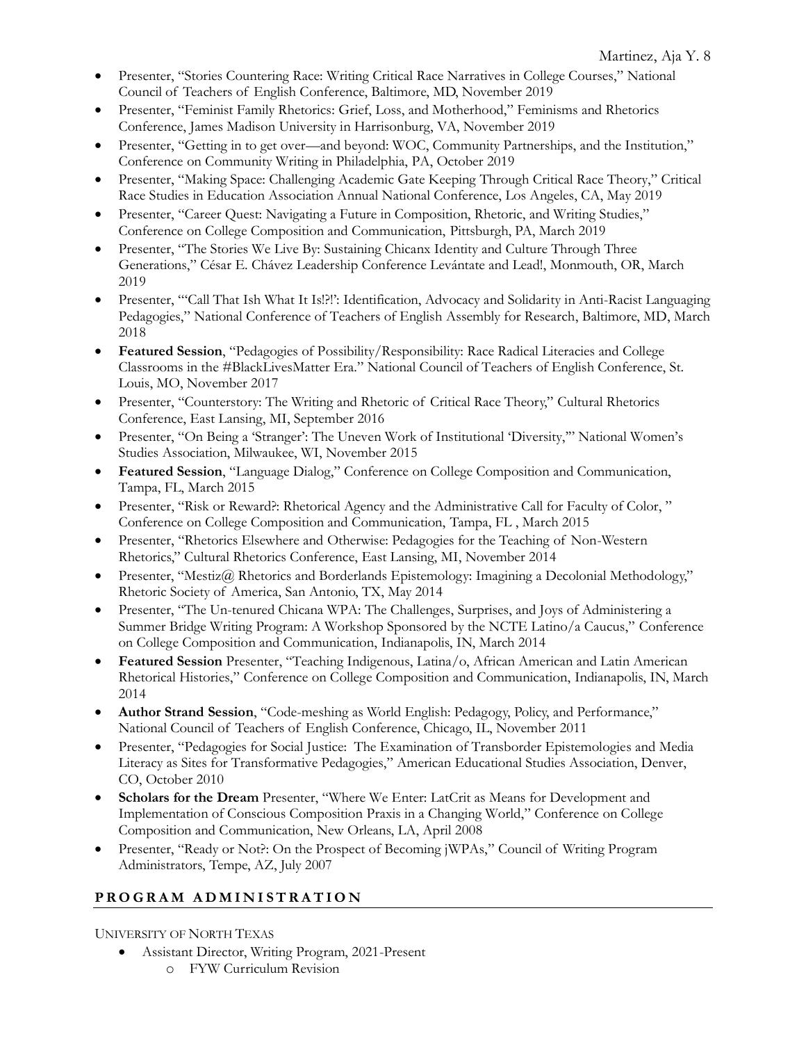- Presenter, "Stories Countering Race: Writing Critical Race Narratives in College Courses," National Council of Teachers of English Conference, Baltimore, MD, November 2019
- Presenter, "Feminist Family Rhetorics: Grief, Loss, and Motherhood," Feminisms and Rhetorics Conference, James Madison University in Harrisonburg, VA, November 2019
- Presenter, "Getting in to get over—and beyond: WOC, Community Partnerships, and the Institution," Conference on Community Writing in Philadelphia, PA, October 2019
- Presenter, "Making Space: Challenging Academic Gate Keeping Through Critical Race Theory," Critical Race Studies in Education Association Annual National Conference, Los Angeles, CA, May 2019
- Presenter, "Career Quest: Navigating a Future in Composition, Rhetoric, and Writing Studies," Conference on College Composition and Communication, Pittsburgh, PA, March 2019
- Presenter, "The Stories We Live By: Sustaining Chicanx Identity and Culture Through Three Generations," César E. Chávez Leadership Conference Levántate and Lead!, Monmouth, OR, March 2019
- Presenter, "'Call That Ish What It Is!?!': Identification, Advocacy and Solidarity in Anti-Racist Languaging Pedagogies," National Conference of Teachers of English Assembly for Research, Baltimore, MD, March 2018
- **Featured Session**, "Pedagogies of Possibility/Responsibility: Race Radical Literacies and College Classrooms in the #BlackLivesMatter Era." National Council of Teachers of English Conference, St. Louis, MO, November 2017
- Presenter, "Counterstory: The Writing and Rhetoric of Critical Race Theory," Cultural Rhetorics Conference, East Lansing, MI, September 2016
- Presenter, "On Being a 'Stranger': The Uneven Work of Institutional 'Diversity,'" National Women's Studies Association, Milwaukee, WI, November 2015
- **Featured Session**, "Language Dialog," Conference on College Composition and Communication, Tampa, FL, March 2015
- Presenter, "Risk or Reward?: Rhetorical Agency and the Administrative Call for Faculty of Color," Conference on College Composition and Communication, Tampa, FL , March 2015
- Presenter, "Rhetorics Elsewhere and Otherwise: Pedagogies for the Teaching of Non-Western Rhetorics," Cultural Rhetorics Conference, East Lansing, MI, November 2014
- Presenter, "Mestiz@ Rhetorics and Borderlands Epistemology: Imagining a Decolonial Methodology," Rhetoric Society of America, San Antonio, TX, May 2014
- Presenter, "The Un-tenured Chicana WPA: The Challenges, Surprises, and Joys of Administering a Summer Bridge Writing Program: A Workshop Sponsored by the NCTE Latino/a Caucus," Conference on College Composition and Communication, Indianapolis, IN, March 2014
- **Featured Session** Presenter, "Teaching Indigenous, Latina/o, African American and Latin American Rhetorical Histories," Conference on College Composition and Communication, Indianapolis, IN, March 2014
- **Author Strand Session**, "Code-meshing as World English: Pedagogy, Policy, and Performance," National Council of Teachers of English Conference, Chicago, IL, November 2011
- Presenter, "Pedagogies for Social Justice: The Examination of Transborder Epistemologies and Media Literacy as Sites for Transformative Pedagogies," American Educational Studies Association, Denver, CO, October 2010
- **Scholars for the Dream** Presenter, "Where We Enter: LatCrit as Means for Development and Implementation of Conscious Composition Praxis in a Changing World," Conference on College Composition and Communication, New Orleans, LA, April 2008
- Presenter, "Ready or Not?: On the Prospect of Becoming jWPAs," Council of Writing Program Administrators, Tempe, AZ, July 2007

# **P R O G R A M A D M I N I S T R A T I O N**

UNIVERSITY OF NORTH TEXAS

- Assistant Director, Writing Program, 2021-Present
	- o FYW Curriculum Revision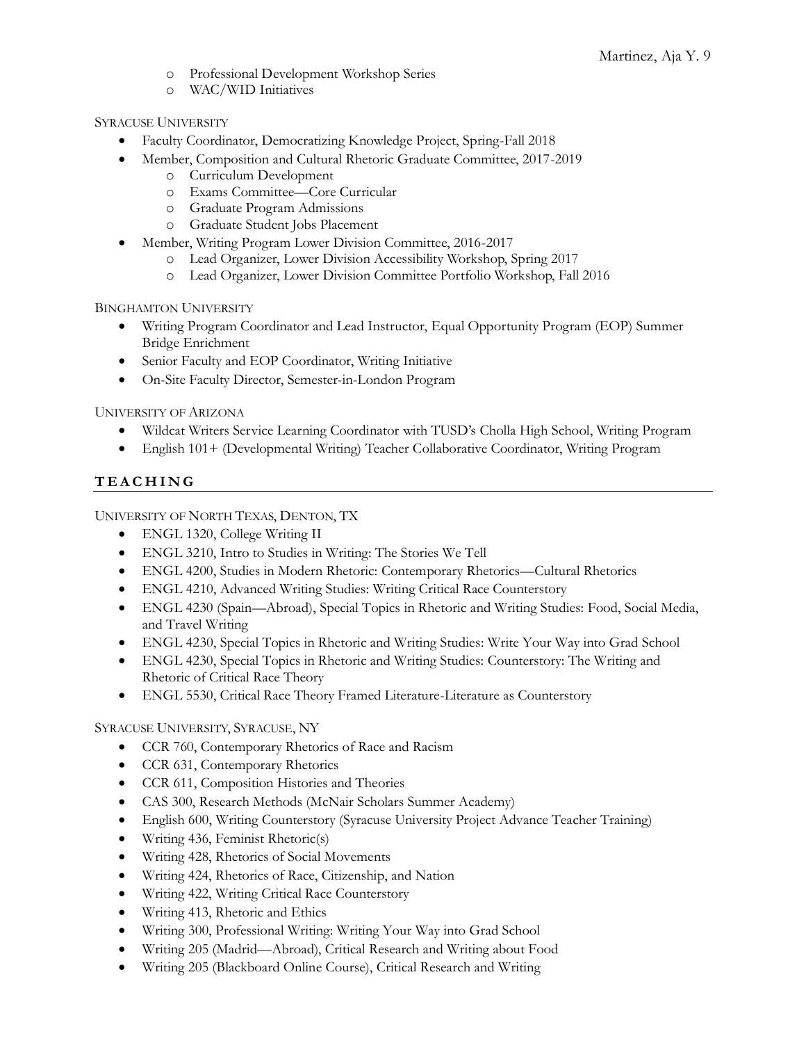- o Professional Development Workshop Series
- o WAC/WID Initiatives

## SYRACUSE UNIVERSITY

- Faculty Coordinator, Democratizing Knowledge Project, Spring-Fall 2018
- Member, Composition and Cultural Rhetoric Graduate Committee, 2017-2019
	- o Curriculum Development
	- o Exams Committee—Core Curricular
	- o Graduate Program Admissions
	- o Graduate Student Jobs Placement
- Member, Writing Program Lower Division Committee, 2016-2017
	- o Lead Organizer, Lower Division Accessibility Workshop, Spring 2017
	- o Lead Organizer, Lower Division Committee Portfolio Workshop, Fall 2016

BINGHAMTON UNIVERSITY

- Writing Program Coordinator and Lead Instructor, Equal Opportunity Program (EOP) Summer Bridge Enrichment
- Senior Faculty and EOP Coordinator, Writing Initiative
- On-Site Faculty Director, Semester-in-London Program

UNIVERSITY OF ARIZONA

- Wildcat Writers Service Learning Coordinator with TUSD's Cholla High School, Writing Program
- English 101+ (Developmental Writing) Teacher Collaborative Coordinator, Writing Program

# **T E A C H I N G**

UNIVERSITY OF NORTH TEXAS, DENTON, TX

- ENGL 1320, College Writing II
- ENGL 3210, Intro to Studies in Writing: The Stories We Tell
- ENGL 4200, Studies in Modern Rhetoric: Contemporary Rhetorics—Cultural Rhetorics
- ENGL 4210, Advanced Writing Studies: Writing Critical Race Counterstory
- ENGL 4230 (Spain—Abroad), Special Topics in Rhetoric and Writing Studies: Food, Social Media, and Travel Writing
- ENGL 4230, Special Topics in Rhetoric and Writing Studies: Write Your Way into Grad School
- ENGL 4230, Special Topics in Rhetoric and Writing Studies: Counterstory: The Writing and Rhetoric of Critical Race Theory
- ENGL 5530, Critical Race Theory Framed Literature-Literature as Counterstory

### SYRACUSE UNIVERSITY, SYRACUSE, NY

- CCR 760, Contemporary Rhetorics of Race and Racism
- CCR 631, Contemporary Rhetorics
- CCR 611, Composition Histories and Theories
- CAS 300, Research Methods (McNair Scholars Summer Academy)
- English 600, Writing Counterstory (Syracuse University Project Advance Teacher Training)
- Writing 436, Feminist Rhetoric(s)
- Writing 428, Rhetorics of Social Movements
- Writing 424, Rhetorics of Race, Citizenship, and Nation
- Writing 422, Writing Critical Race Counterstory
- Writing 413, Rhetoric and Ethics
- Writing 300, Professional Writing: Writing Your Way into Grad School
- Writing 205 (Madrid—Abroad), Critical Research and Writing about Food
- Writing 205 (Blackboard Online Course), Critical Research and Writing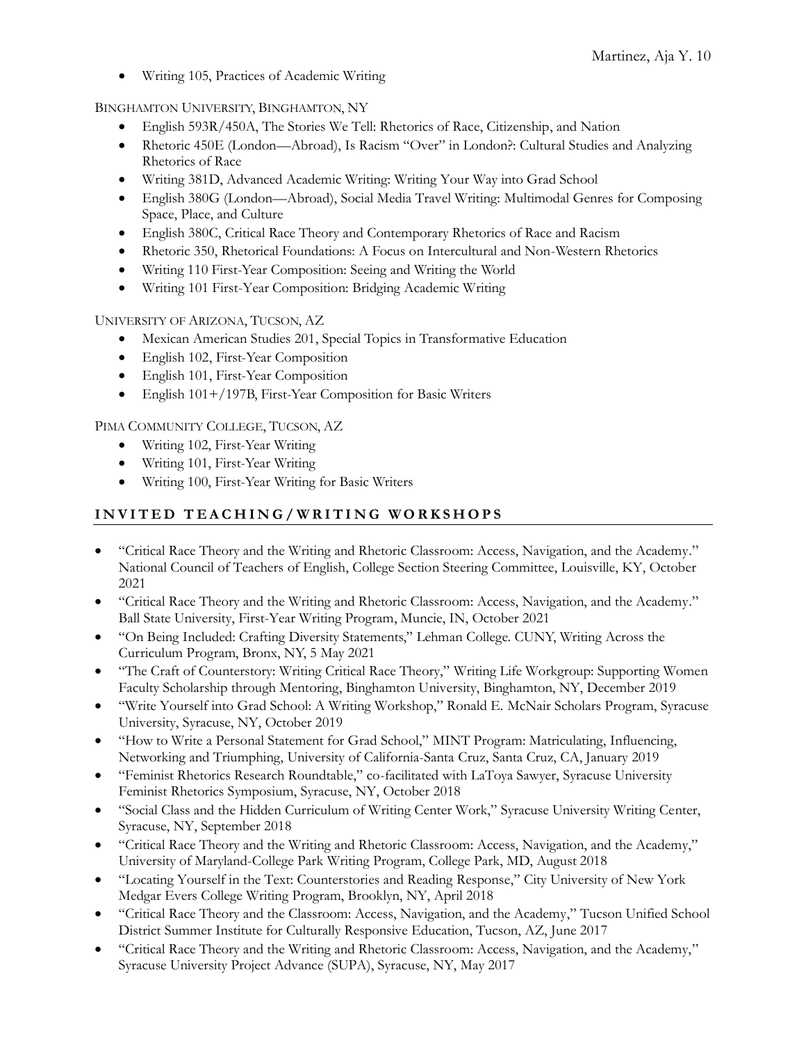• Writing 105, Practices of Academic Writing

BINGHAMTON UNIVERSITY, BINGHAMTON, NY

- English 593R/450A, The Stories We Tell: Rhetorics of Race, Citizenship, and Nation
- Rhetoric 450E (London—Abroad), Is Racism "Over" in London?: Cultural Studies and Analyzing Rhetorics of Race
- Writing 381D, Advanced Academic Writing: Writing Your Way into Grad School
- English 380G (London—Abroad), Social Media Travel Writing: Multimodal Genres for Composing Space, Place, and Culture
- English 380C, Critical Race Theory and Contemporary Rhetorics of Race and Racism
- Rhetoric 350, Rhetorical Foundations: A Focus on Intercultural and Non-Western Rhetorics
- Writing 110 First-Year Composition: Seeing and Writing the World
- Writing 101 First-Year Composition: Bridging Academic Writing

UNIVERSITY OF ARIZONA, TUCSON, AZ

- Mexican American Studies 201, Special Topics in Transformative Education
- English 102, First-Year Composition
- English 101, First-Year Composition
- English 101+/197B, First-Year Composition for Basic Writers

PIMA COMMUNITY COLLEGE, TUCSON, AZ

- Writing 102, First-Year Writing
- Writing 101, First-Year Writing
- Writing 100, First-Year Writing for Basic Writers

# **I N V I T E D T E A C H I N G / W R I T I N G W O R K S H O P S**

- "Critical Race Theory and the Writing and Rhetoric Classroom: Access, Navigation, and the Academy." National Council of Teachers of English, College Section Steering Committee, Louisville, KY, October 2021
- "Critical Race Theory and the Writing and Rhetoric Classroom: Access, Navigation, and the Academy." Ball State University, First-Year Writing Program, Muncie, IN, October 2021
- "On Being Included: Crafting Diversity Statements," Lehman College. CUNY, Writing Across the Curriculum Program, Bronx, NY, 5 May 2021
- "The Craft of Counterstory: Writing Critical Race Theory," Writing Life Workgroup: Supporting Women Faculty Scholarship through Mentoring, Binghamton University, Binghamton, NY, December 2019
- "Write Yourself into Grad School: A Writing Workshop," Ronald E. McNair Scholars Program, Syracuse University, Syracuse, NY, October 2019
- "How to Write a Personal Statement for Grad School," MINT Program: Matriculating, Influencing, Networking and Triumphing, University of California-Santa Cruz, Santa Cruz, CA, January 2019
- "Feminist Rhetorics Research Roundtable," co-facilitated with LaToya Sawyer, Syracuse University Feminist Rhetorics Symposium, Syracuse, NY, October 2018
- "Social Class and the Hidden Curriculum of Writing Center Work," Syracuse University Writing Center, Syracuse, NY, September 2018
- "Critical Race Theory and the Writing and Rhetoric Classroom: Access, Navigation, and the Academy," University of Maryland-College Park Writing Program, College Park, MD, August 2018
- "Locating Yourself in the Text: Counterstories and Reading Response," City University of New York Medgar Evers College Writing Program, Brooklyn, NY, April 2018
- "Critical Race Theory and the Classroom: Access, Navigation, and the Academy," Tucson Unified School District Summer Institute for Culturally Responsive Education, Tucson, AZ, June 2017
- "Critical Race Theory and the Writing and Rhetoric Classroom: Access, Navigation, and the Academy," Syracuse University Project Advance (SUPA), Syracuse, NY, May 2017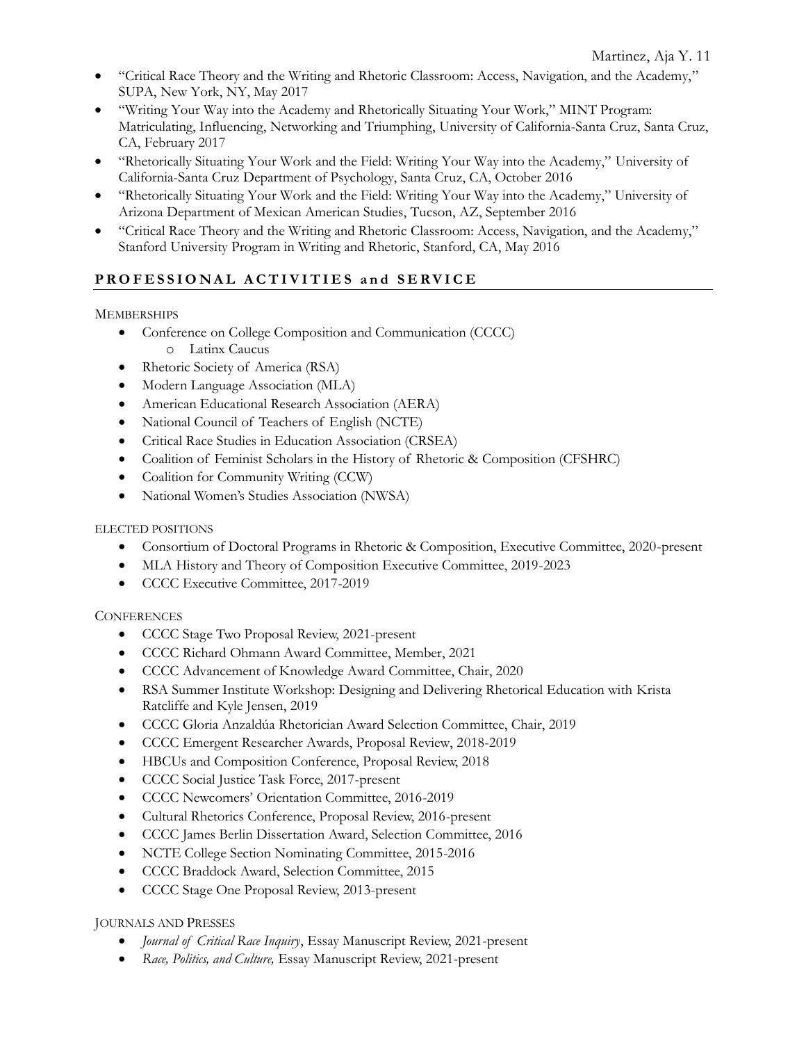- "Critical Race Theory and the Writing and Rhetoric Classroom: Access, Navigation, and the Academy," SUPA, New York, NY, May 2017
- "Writing Your Way into the Academy and Rhetorically Situating Your Work," MINT Program: Matriculating, Influencing, Networking and Triumphing, University of California-Santa Cruz, Santa Cruz, CA, February 2017
- "Rhetorically Situating Your Work and the Field: Writing Your Way into the Academy," University of California-Santa Cruz Department of Psychology, Santa Cruz, CA, October 2016
- "Rhetorically Situating Your Work and the Field: Writing Your Way into the Academy," University of Arizona Department of Mexican American Studies, Tucson, AZ, September 2016
- "Critical Race Theory and the Writing and Rhetoric Classroom: Access, Navigation, and the Academy," Stanford University Program in Writing and Rhetoric, Stanford, CA, May 2016

# PROFESSIONAL ACTIVITIES and SERVICE

## **MEMBERSHIPS**

- Conference on College Composition and Communication (CCCC) o Latinx Caucus
- Rhetoric Society of America (RSA)
- Modern Language Association (MLA)
- American Educational Research Association (AERA)
- National Council of Teachers of English (NCTE)
- Critical Race Studies in Education Association (CRSEA)
- Coalition of Feminist Scholars in the History of Rhetoric & Composition (CFSHRC)
- Coalition for Community Writing (CCW)
- National Women's Studies Association (NWSA)

## ELECTED POSITIONS

- Consortium of Doctoral Programs in Rhetoric & Composition, Executive Committee, 2020-present
- MLA History and Theory of Composition Executive Committee, 2019-2023
- CCCC Executive Committee, 2017-2019

# **CONFERENCES**

- CCCC Stage Two Proposal Review, 2021-present
- CCCC Richard Ohmann Award Committee, Member, 2021
- CCCC Advancement of Knowledge Award Committee, Chair, 2020
- RSA Summer Institute Workshop: Designing and Delivering Rhetorical Education with Krista Ratcliffe and Kyle Jensen, 2019
- CCCC Gloria Anzaldúa Rhetorician Award Selection Committee, Chair, 2019
- CCCC Emergent Researcher Awards, Proposal Review, 2018-2019
- HBCUs and Composition Conference, Proposal Review, 2018
- CCCC Social Justice Task Force, 2017-present
- CCCC Newcomers' Orientation Committee, 2016-2019
- Cultural Rhetorics Conference, Proposal Review, 2016-present
- CCCC James Berlin Dissertation Award, Selection Committee, 2016
- NCTE College Section Nominating Committee, 2015-2016
- CCCC Braddock Award, Selection Committee, 2015
- CCCC Stage One Proposal Review, 2013-present

# JOURNALS AND PRESSES

- *Journal of Critical Race Inquiry*, Essay Manuscript Review, 2021-present
- *Race, Politics, and Culture,* Essay Manuscript Review, 2021-present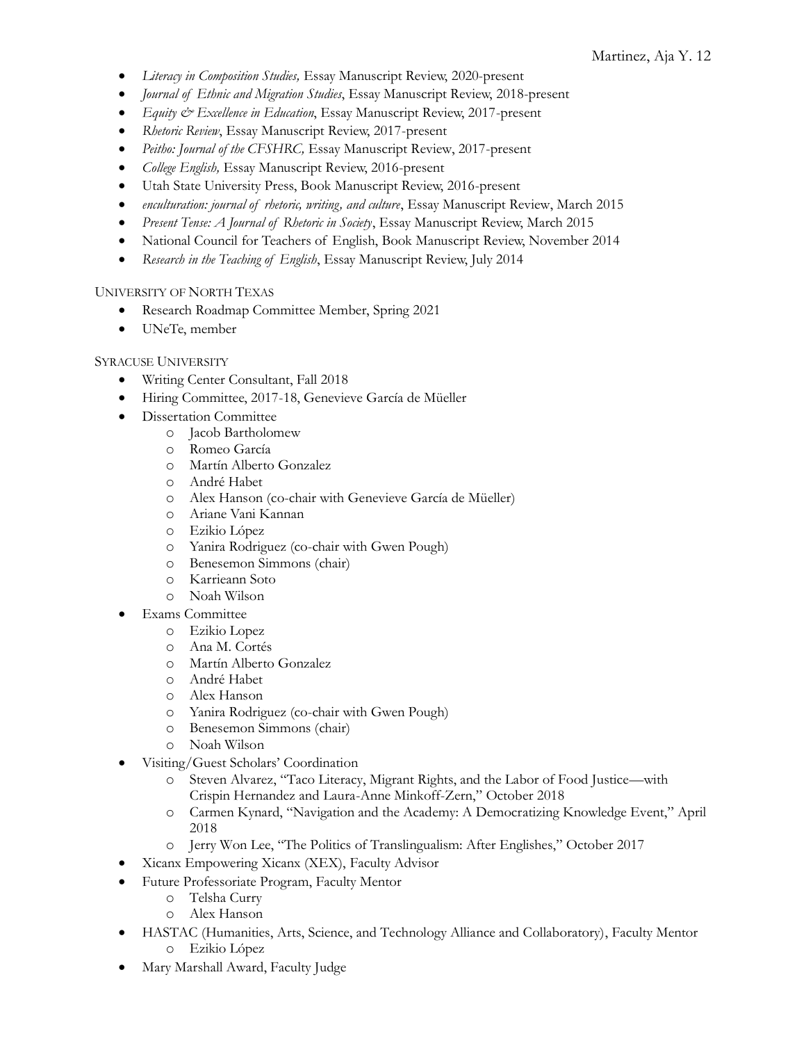- *Literacy in Composition Studies,* Essay Manuscript Review, 2020-present
- *Journal of Ethnic and Migration Studies*, Essay Manuscript Review, 2018-present
- *Equity & Excellence in Education*, Essay Manuscript Review, 2017-present
- *Rhetoric Review*, Essay Manuscript Review, 2017-present
- *Peitho: Journal of the CFSHRC,* Essay Manuscript Review, 2017-present
- *College English,* Essay Manuscript Review, 2016-present
- Utah State University Press, Book Manuscript Review, 2016-present
- *enculturation: journal of rhetoric, writing, and culture*, Essay Manuscript Review, March 2015
- *Present Tense: A Journal of Rhetoric in Society*, Essay Manuscript Review, March 2015
- National Council for Teachers of English, Book Manuscript Review, November 2014
- *Research in the Teaching of English*, Essay Manuscript Review, July 2014

### UNIVERSITY OF NORTH TEXAS

- Research Roadmap Committee Member, Spring 2021
- UNeTe, member

#### SYRACUSE UNIVERSITY

- Writing Center Consultant, Fall 2018
- Hiring Committee, 2017-18, Genevieve García de Müeller
- Dissertation Committee
	- o Jacob Bartholomew
	- o Romeo García
	- o Martín Alberto Gonzalez
	- o André Habet
	- o Alex Hanson (co-chair with Genevieve García de Müeller)
	- o Ariane Vani Kannan
	- o Ezikio López
	- o Yanira Rodriguez (co-chair with Gwen Pough)
	- o Benesemon Simmons (chair)
	- o Karrieann Soto
	- o Noah Wilson
- **Exams** Committee
	- o Ezikio Lopez
	- o Ana M. Cortés
	- o Martín Alberto Gonzalez
	- o André Habet
	- o Alex Hanson
	- o Yanira Rodriguez (co-chair with Gwen Pough)
	- o Benesemon Simmons (chair)
	- o Noah Wilson
- Visiting/Guest Scholars' Coordination
	- o Steven Alvarez, "Taco Literacy, Migrant Rights, and the Labor of Food Justice—with Crispin Hernandez and Laura-Anne Minkoff-Zern," October 2018
	- o Carmen Kynard, "Navigation and the Academy: A Democratizing Knowledge Event," April 2018
	- o Jerry Won Lee, "The Politics of Translingualism: After Englishes," October 2017
- Xicanx Empowering Xicanx (XEX), Faculty Advisor
- Future Professoriate Program, Faculty Mentor
	- o Telsha Curry
	- o Alex Hanson
- HASTAC (Humanities, Arts, Science, and Technology Alliance and Collaboratory), Faculty Mentor o Ezikio López
- Mary Marshall Award, Faculty Judge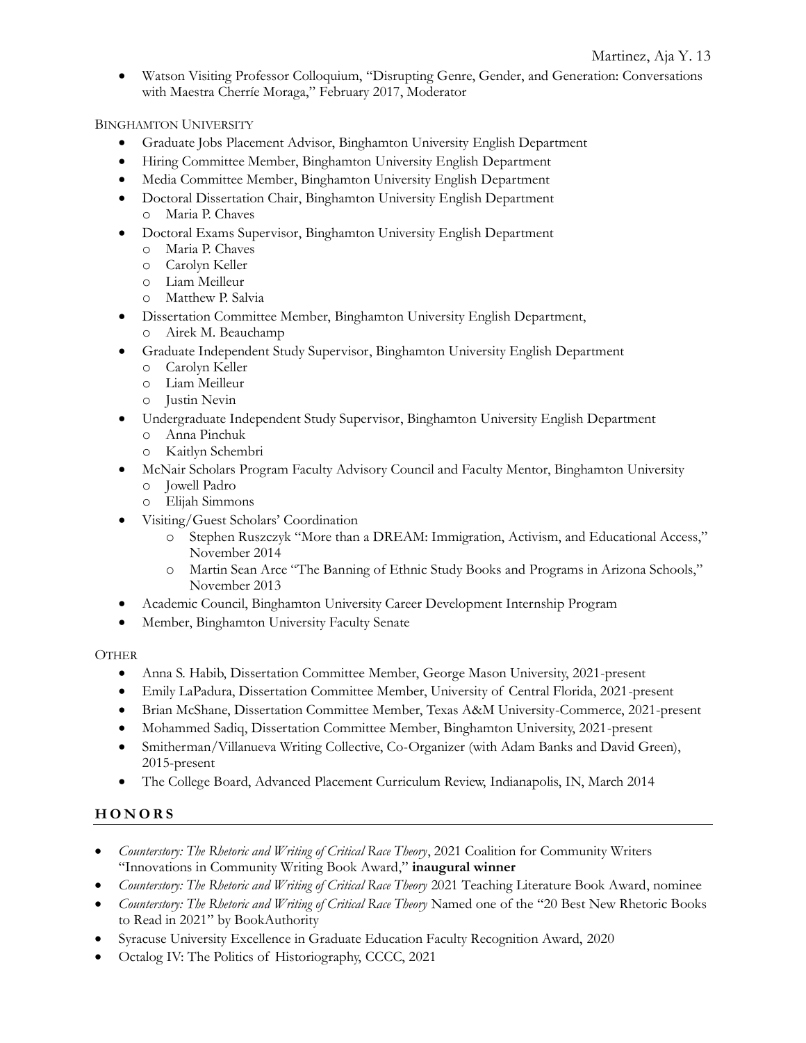• Watson Visiting Professor Colloquium, "Disrupting Genre, Gender, and Generation: Conversations with Maestra Cherríe Moraga," February 2017, Moderator

BINGHAMTON UNIVERSITY

- Graduate Jobs Placement Advisor, Binghamton University English Department
- Hiring Committee Member, Binghamton University English Department
- Media Committee Member, Binghamton University English Department
- Doctoral Dissertation Chair, Binghamton University English Department o Maria P. Chaves
- Doctoral Exams Supervisor, Binghamton University English Department
	- o Maria P. Chaves
	- o Carolyn Keller
	- o Liam Meilleur
	- o Matthew P. Salvia
- Dissertation Committee Member, Binghamton University English Department,
	- o Airek M. Beauchamp
- Graduate Independent Study Supervisor, Binghamton University English Department
	- o Carolyn Keller
	- o Liam Meilleur
	- o Justin Nevin
- Undergraduate Independent Study Supervisor, Binghamton University English Department
	- o Anna Pinchuk
	- o Kaitlyn Schembri
- McNair Scholars Program Faculty Advisory Council and Faculty Mentor, Binghamton University
	- o Jowell Padro
	- o Elijah Simmons
- Visiting/Guest Scholars' Coordination
	- o Stephen Ruszczyk "More than a DREAM: Immigration, Activism, and Educational Access," November 2014
	- o Martin Sean Arce "The Banning of Ethnic Study Books and Programs in Arizona Schools," November 2013
- Academic Council, Binghamton University Career Development Internship Program
- Member, Binghamton University Faculty Senate

### **OTHER**

- Anna S. Habib, Dissertation Committee Member, George Mason University, 2021-present
- Emily LaPadura, Dissertation Committee Member, University of Central Florida, 2021-present
- Brian McShane, Dissertation Committee Member, Texas A&M University-Commerce, 2021-present
- Mohammed Sadiq, Dissertation Committee Member, Binghamton University, 2021-present
- Smitherman/Villanueva Writing Collective, Co-Organizer (with Adam Banks and David Green), 2015-present
- The College Board, Advanced Placement Curriculum Review, Indianapolis, IN, March 2014

# **H O N O R S**

- *Counterstory: The Rhetoric and Writing of Critical Race Theory*, 2021 Coalition for Community Writers "Innovations in Community Writing Book Award," **inaugural winner**
- *Counterstory: The Rhetoric and Writing of Critical Race Theory* 2021 Teaching Literature Book Award, nominee
- *Counterstory: The Rhetoric and Writing of Critical Race Theory* Named one of the "20 Best New Rhetoric Books to Read in 2021" by BookAuthority
- Syracuse University Excellence in Graduate Education Faculty Recognition Award, 2020
- Octalog IV: The Politics of Historiography, CCCC, 2021